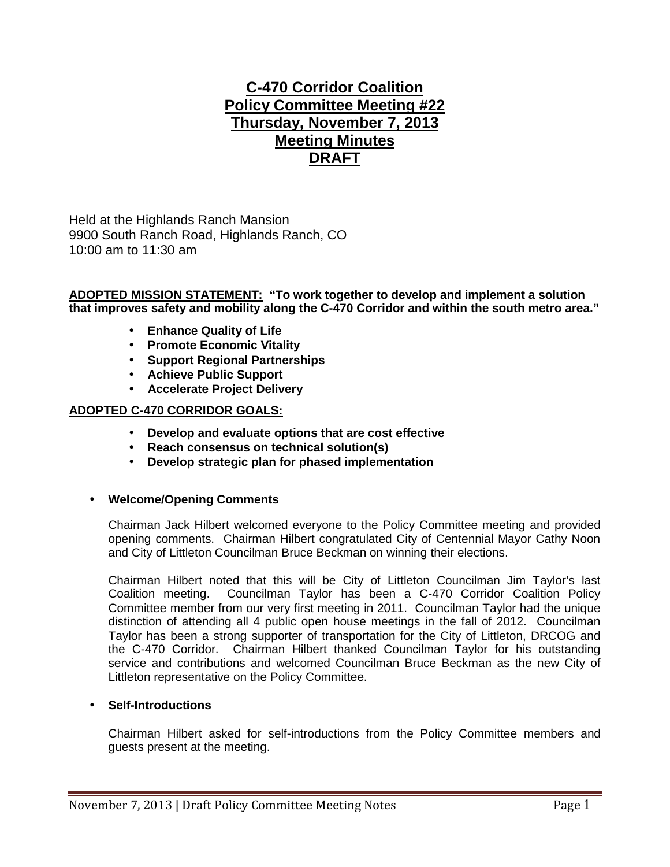# **C-470 Corridor Coalition Policy Committee Meeting #22 Thursday, November 7, 2013 Meeting Minutes DRAFT**

Held at the Highlands Ranch Mansion 9900 South Ranch Road, Highlands Ranch, CO 10:00 am to 11:30 am

**ADOPTED MISSION STATEMENT: "To work together to develop and implement a solution that improves safety and mobility along the C-470 Corridor and within the south metro area."**

- **Enhance Quality of Life**  $\mathcal{L}^{\text{max}}$
- **Promote Economic Vitality**
- **Support Regional Partnerships**
- **Achieve Public Support**
- **Accelerate Project Delivery**

#### **ADOPTED C-470 CORRIDOR GOALS:**

- **Develop and evaluate options that are cost effective**
- **Reach consensus on technical solution(s)**  $\mathbf{r} = \mathbf{r}$
- **Develop strategic plan for phased implementation**

#### **Welcome/Opening Comments**

Chairman Jack Hilbert welcomed everyone to the Policy Committee meeting and provided opening comments. Chairman Hilbert congratulated City of Centennial Mayor Cathy Noon and City of Littleton Councilman Bruce Beckman on winning their elections.

Chairman Hilbert noted that this will be City of Littleton Councilman Jim Taylor's last Coalition meeting. Councilman Taylor has been a C-470 Corridor Coalition Policy Committee member from our very first meeting in 2011. Councilman Taylor had the unique distinction of attending all 4 public open house meetings in the fall of 2012. Councilman Taylor has been a strong supporter of transportation for the City of Littleton, DRCOG and the C-470 Corridor. Chairman Hilbert thanked Councilman Taylor for his outstanding service and contributions and welcomed Councilman Bruce Beckman as the new City of Littleton representative on the Policy Committee.

#### **Self-Introductions**

Chairman Hilbert asked for self-introductions from the Policy Committee members and guests present at the meeting.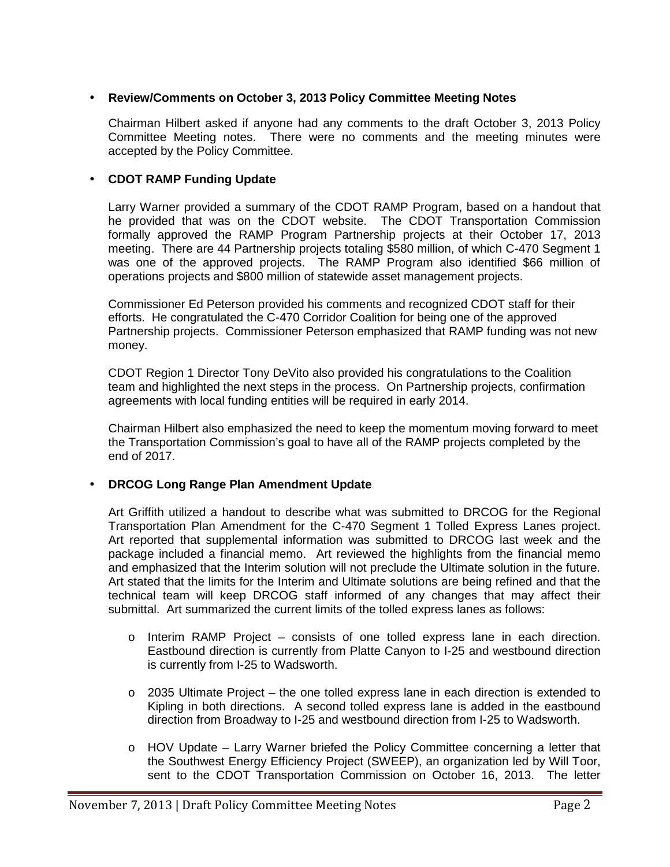## **Review/Comments on October 3, 2013 Policy Committee Meeting Notes**

Chairman Hilbert asked if anyone had any comments to the draft October 3, 2013 Policy Committee Meeting notes. There were no comments and the meeting minutes were accepted by the Policy Committee.

## **CDOT RAMP Funding Update**

Larry Warner provided a summary of the CDOT RAMP Program, based on a handout that he provided that was on the CDOT website. The CDOT Transportation Commission formally approved the RAMP Program Partnership projects at their October 17, 2013 meeting. There are 44 Partnership projects totaling \$580 million, of which C-470 Segment 1 was one of the approved projects. The RAMP Program also identified \$66 million of operations projects and \$800 million of statewide asset management projects.

Commissioner Ed Peterson provided his comments and recognized CDOT staff for their efforts. He congratulated the C-470 Corridor Coalition for being one of the approved Partnership projects. Commissioner Peterson emphasized that RAMP funding was not new money.

CDOT Region 1 Director Tony DeVito also provided his congratulations to the Coalition team and highlighted the next steps in the process. On Partnership projects, confirmation agreements with local funding entities will be required in early 2014.

Chairman Hilbert also emphasized the need to keep the momentum moving forward to meet the Transportation Commission's goal to have all of the RAMP projects completed by the end of 2017.

## **DRCOG Long Range Plan Amendment Update**

Art Griffith utilized a handout to describe what was submitted to DRCOG for the Regional Transportation Plan Amendment for the C-470 Segment 1 Tolled Express Lanes project. Art reported that supplemental information was submitted to DRCOG last week and the package included a financial memo. Art reviewed the highlights from the financial memo and emphasized that the Interim solution will not preclude the Ultimate solution in the future. Art stated that the limits for the Interim and Ultimate solutions are being refined and that the technical team will keep DRCOG staff informed of any changes that may affect their submittal. Art summarized the current limits of the tolled express lanes as follows:

- o Interim RAMP Project consists of one tolled express lane in each direction. Eastbound direction is currently from Platte Canyon to I-25 and westbound direction is currently from I-25 to Wadsworth.
- o 2035 Ultimate Project the one tolled express lane in each direction is extended to Kipling in both directions. A second tolled express lane is added in the eastbound direction from Broadway to I-25 and westbound direction from I-25 to Wadsworth.
- $\circ$  HOV Update Larry Warner briefed the Policy Committee concerning a letter that the Southwest Energy Efficiency Project (SWEEP), an organization led by Will Toor, sent to the CDOT Transportation Commission on October 16, 2013. The letter